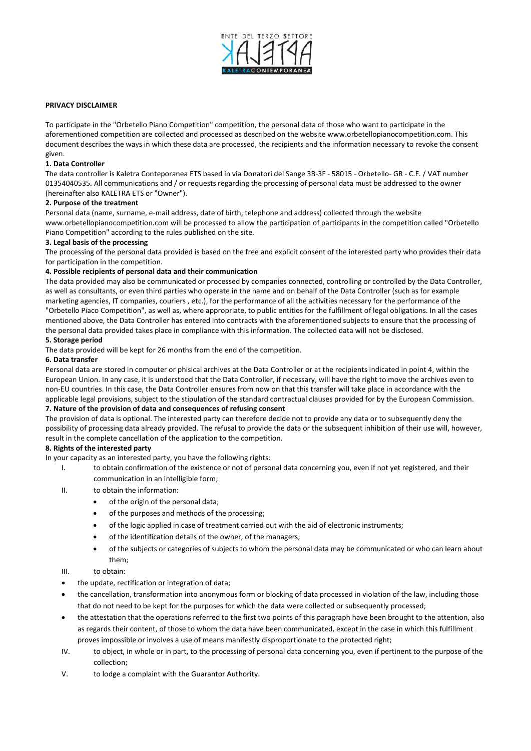

### PRIVACY DISCLAIMER

To participate in the "Orbetello Piano Competition" competition, the personal data of those who want to participate in the aforementioned competition are collected and processed as described on the website www.orbetellopianocompetition.com. This document describes the ways in which these data are processed, the recipients and the information necessary to revoke the consent given.

### 1. Data Controller

The data controller is Kaletra Conteporanea ETS based in via Donatori del Sange 3B-3F - 58015 - Orbetello- GR - C.F. / VAT number 01354040535. All communications and / or requests regarding the processing of personal data must be addressed to the owner (hereinafter also KALETRA ETS or "Owner").

### 2. Purpose of the treatment

Personal data (name, surname, e-mail address, date of birth, telephone and address) collected through the website www.orbetellopianocompetition.com will be processed to allow the participation of participants in the competition called "Orbetello Piano Competition" according to the rules published on the site.

### 3. Legal basis of the processing

The processing of the personal data provided is based on the free and explicit consent of the interested party who provides their data for participation in the competition.

# 4. Possible recipients of personal data and their communication

The data provided may also be communicated or processed by companies connected, controlling or controlled by the Data Controller, as well as consultants, or even third parties who operate in the name and on behalf of the Data Controller (such as for example marketing agencies, IT companies, couriers , etc.), for the performance of all the activities necessary for the performance of the "Orbetello Piaco Competition", as well as, where appropriate, to public entities for the fulfillment of legal obligations. In all the cases mentioned above, the Data Controller has entered into contracts with the aforementioned subjects to ensure that the processing of the personal data provided takes place in compliance with this information. The collected data will not be disclosed.

### 5. Storage period

The data provided will be kept for 26 months from the end of the competition.

#### 6. Data transfer

Personal data are stored in computer or phisical archives at the Data Controller or at the recipients indicated in point 4, within the European Union. In any case, it is understood that the Data Controller, if necessary, will have the right to move the archives even to non-EU countries. In this case, the Data Controller ensures from now on that this transfer will take place in accordance with the applicable legal provisions, subject to the stipulation of the standard contractual clauses provided for by the European Commission. 7. Nature of the provision of data and consequences of refusing consent

The provision of data is optional. The interested party can therefore decide not to provide any data or to subsequently deny the possibility of processing data already provided. The refusal to provide the data or the subsequent inhibition of their use will, however, result in the complete cancellation of the application to the competition.

# 8. Rights of the interested party

In your capacity as an interested party, you have the following rights:

- I. to obtain confirmation of the existence or not of personal data concerning you, even if not yet registered, and their communication in an intelligible form;
- II. to obtain the information:
	- of the origin of the personal data;
	- of the purposes and methods of the processing;
	- of the logic applied in case of treatment carried out with the aid of electronic instruments;
	- of the identification details of the owner, of the managers;
	- of the subjects or categories of subjects to whom the personal data may be communicated or who can learn about them;
- III. to obtain:
- the update, rectification or integration of data;
- the cancellation, transformation into anonymous form or blocking of data processed in violation of the law, including those that do not need to be kept for the purposes for which the data were collected or subsequently processed;
- the attestation that the operations referred to the first two points of this paragraph have been brought to the attention, also as regards their content, of those to whom the data have been communicated, except in the case in which this fulfillment proves impossible or involves a use of means manifestly disproportionate to the protected right;
- IV. to object, in whole or in part, to the processing of personal data concerning you, even if pertinent to the purpose of the collection;
- V. to lodge a complaint with the Guarantor Authority.